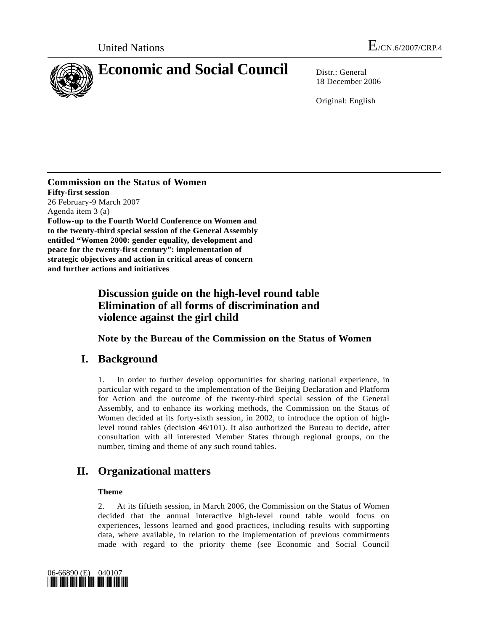

18 December 2006

Original: English

**Commission on the Status of Women Fifty-first session**  26 February-9 March 2007 Agenda item 3 (a) **Follow-up to the Fourth World Conference on Women and to the twenty-third special session of the General Assembly entitled "Women 2000: gender equality, development and peace for the twenty-first century": implementation of strategic objectives and action in critical areas of concern and further actions and initiatives** 

# **Discussion guide on the high-level round table Elimination of all forms of discrimination and violence against the girl child**

 **Note by the Bureau of the Commission on the Status of Women** 

# **I. Background**

1. In order to further develop opportunities for sharing national experience, in particular with regard to the implementation of the Beijing Declaration and Platform for Action and the outcome of the twenty-third special session of the General Assembly, and to enhance its working methods, the Commission on the Status of Women decided at its forty-sixth session, in 2002, to introduce the option of highlevel round tables (decision 46/101). It also authorized the Bureau to decide, after consultation with all interested Member States through regional groups, on the number, timing and theme of any such round tables.

# **II. Organizational matters**

## **Theme**

2. At its fiftieth session, in March 2006, the Commission on the Status of Women decided that the annual interactive high-level round table would focus on experiences, lessons learned and good practices, including results with supporting data, where available, in relation to the implementation of previous commitments made with regard to the priority theme (see Economic and Social Council

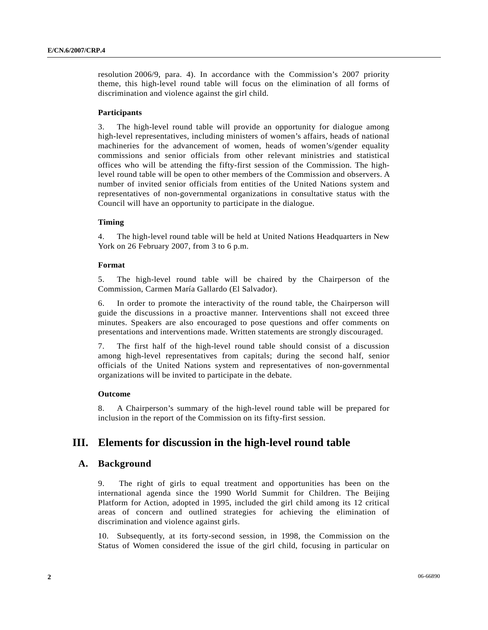resolution 2006/9, para. 4). In accordance with the Commission's 2007 priority theme, this high-level round table will focus on the elimination of all forms of discrimination and violence against the girl child.

#### **Participants**

3. The high-level round table will provide an opportunity for dialogue among high-level representatives, including ministers of women's affairs, heads of national machineries for the advancement of women, heads of women's/gender equality commissions and senior officials from other relevant ministries and statistical offices who will be attending the fifty-first session of the Commission. The highlevel round table will be open to other members of the Commission and observers. A number of invited senior officials from entities of the United Nations system and representatives of non-governmental organizations in consultative status with the Council will have an opportunity to participate in the dialogue.

#### **Timing**

4. The high-level round table will be held at United Nations Headquarters in New York on 26 February 2007, from 3 to 6 p.m.

#### **Format**

5. The high-level round table will be chaired by the Chairperson of the Commission, Carmen María Gallardo (El Salvador).

6. In order to promote the interactivity of the round table, the Chairperson will guide the discussions in a proactive manner. Interventions shall not exceed three minutes. Speakers are also encouraged to pose questions and offer comments on presentations and interventions made. Written statements are strongly discouraged.

7. The first half of the high-level round table should consist of a discussion among high-level representatives from capitals; during the second half, senior officials of the United Nations system and representatives of non-governmental organizations will be invited to participate in the debate.

#### **Outcome**

8. A Chairperson's summary of the high-level round table will be prepared for inclusion in the report of the Commission on its fifty-first session.

## **III. Elements for discussion in the high-level round table**

## **A. Background**

9. The right of girls to equal treatment and opportunities has been on the international agenda since the 1990 World Summit for Children. The Beijing Platform for Action, adopted in 1995, included the girl child among its 12 critical areas of concern and outlined strategies for achieving the elimination of discrimination and violence against girls.

10. Subsequently, at its forty-second session, in 1998, the Commission on the Status of Women considered the issue of the girl child, focusing in particular on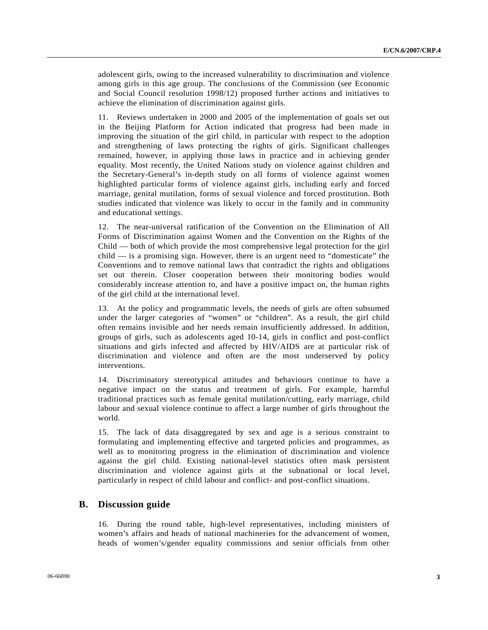adolescent girls, owing to the increased vulnerability to discrimination and violence among girls in this age group. The conclusions of the Commission (see Economic and Social Council resolution 1998/12) proposed further actions and initiatives to achieve the elimination of discrimination against girls.

11. Reviews undertaken in 2000 and 2005 of the implementation of goals set out in the Beijing Platform for Action indicated that progress had been made in improving the situation of the girl child, in particular with respect to the adoption and strengthening of laws protecting the rights of girls. Significant challenges remained, however, in applying those laws in practice and in achieving gender equality. Most recently, the United Nations study on violence against children and the Secretary-General's in-depth study on all forms of violence against women highlighted particular forms of violence against girls, including early and forced marriage, genital mutilation, forms of sexual violence and forced prostitution. Both studies indicated that violence was likely to occur in the family and in community and educational settings.

12. The near-universal ratification of the Convention on the Elimination of All Forms of Discrimination against Women and the Convention on the Rights of the Child — both of which provide the most comprehensive legal protection for the girl child — is a promising sign. However, there is an urgent need to "domesticate" the Conventions and to remove national laws that contradict the rights and obligations set out therein. Closer cooperation between their monitoring bodies would considerably increase attention to, and have a positive impact on, the human rights of the girl child at the international level.

13. At the policy and programmatic levels, the needs of girls are often subsumed under the larger categories of "women" or "children". As a result, the girl child often remains invisible and her needs remain insufficiently addressed. In addition, groups of girls, such as adolescents aged 10-14, girls in conflict and post-conflict situations and girls infected and affected by HIV/AIDS are at particular risk of discrimination and violence and often are the most underserved by policy interventions.

14. Discriminatory stereotypical attitudes and behaviours continue to have a negative impact on the status and treatment of girls. For example, harmful traditional practices such as female genital mutilation/cutting, early marriage, child labour and sexual violence continue to affect a large number of girls throughout the world.

15. The lack of data disaggregated by sex and age is a serious constraint to formulating and implementing effective and targeted policies and programmes, as well as to monitoring progress in the elimination of discrimination and violence against the girl child. Existing national-level statistics often mask persistent discrimination and violence against girls at the subnational or local level, particularly in respect of child labour and conflict- and post-conflict situations.

## **B. Discussion guide**

16. During the round table, high-level representatives, including ministers of women's affairs and heads of national machineries for the advancement of women, heads of women's/gender equality commissions and senior officials from other